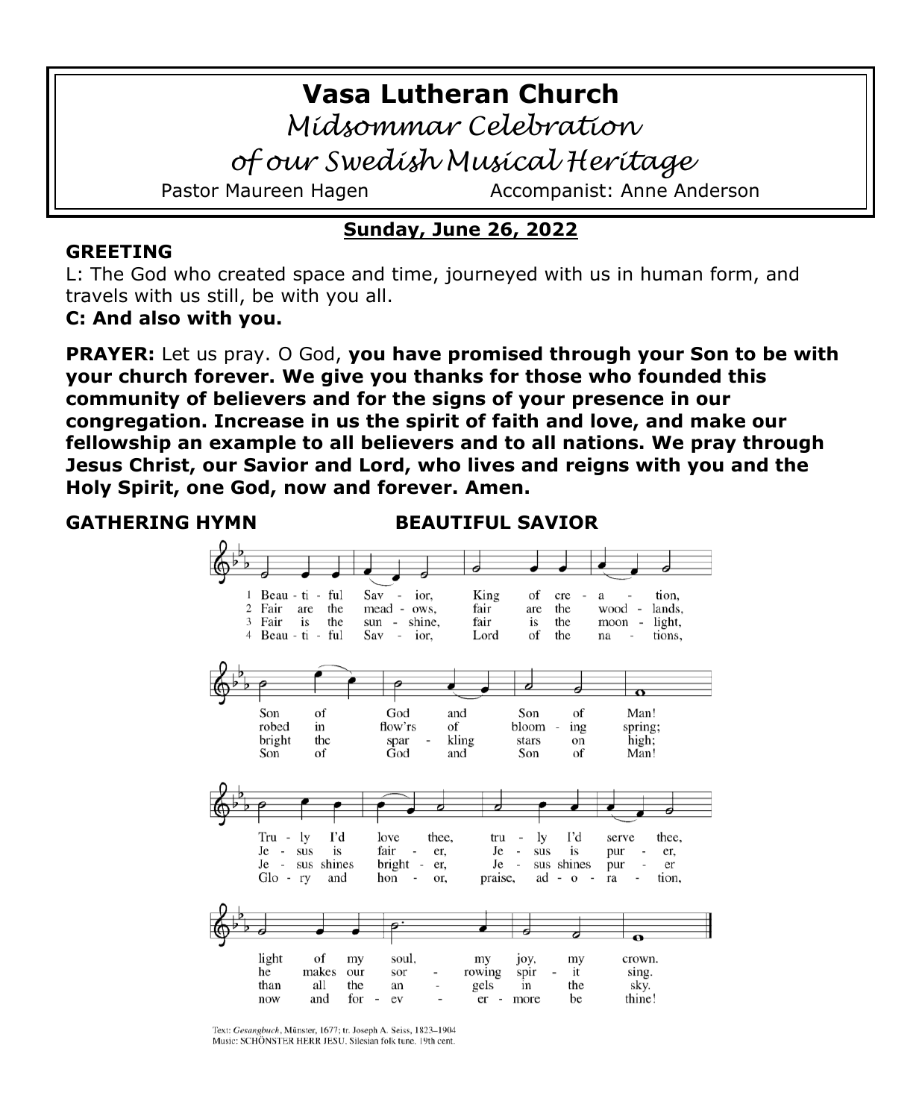# **Vasa Lutheran Church**

*Midsommar Celebration* 

*of our Swedish Musical Heritage*

Pastor Maureen Hagen Accompanist: Anne Anderson

# **Sunday, June 26, 2022**

#### **GREETING**

L: The God who created space and time, journeyed with us in human form, and travels with us still, be with you all.

**C: And also with you.**

**PRAYER:** Let us pray. O God, **you have promised through your Son to be with your church forever. We give you thanks for those who founded this community of believers and for the signs of your presence in our congregation. Increase in us the spirit of faith and love, and make our fellowship an example to all believers and to all nations. We pray through Jesus Christ, our Savior and Lord, who lives and reigns with you and the Holy Spirit, one God, now and forever. Amen.**

**GATHERING HYMN BEAUTIFUL SAVIOR**



Text: Gesangbuch, Münster, 1677; tr. Joseph A. Seiss, 1823-1904 Music: SCHÖNSTER HERR JESU, Silesian folk tune, 19th cent.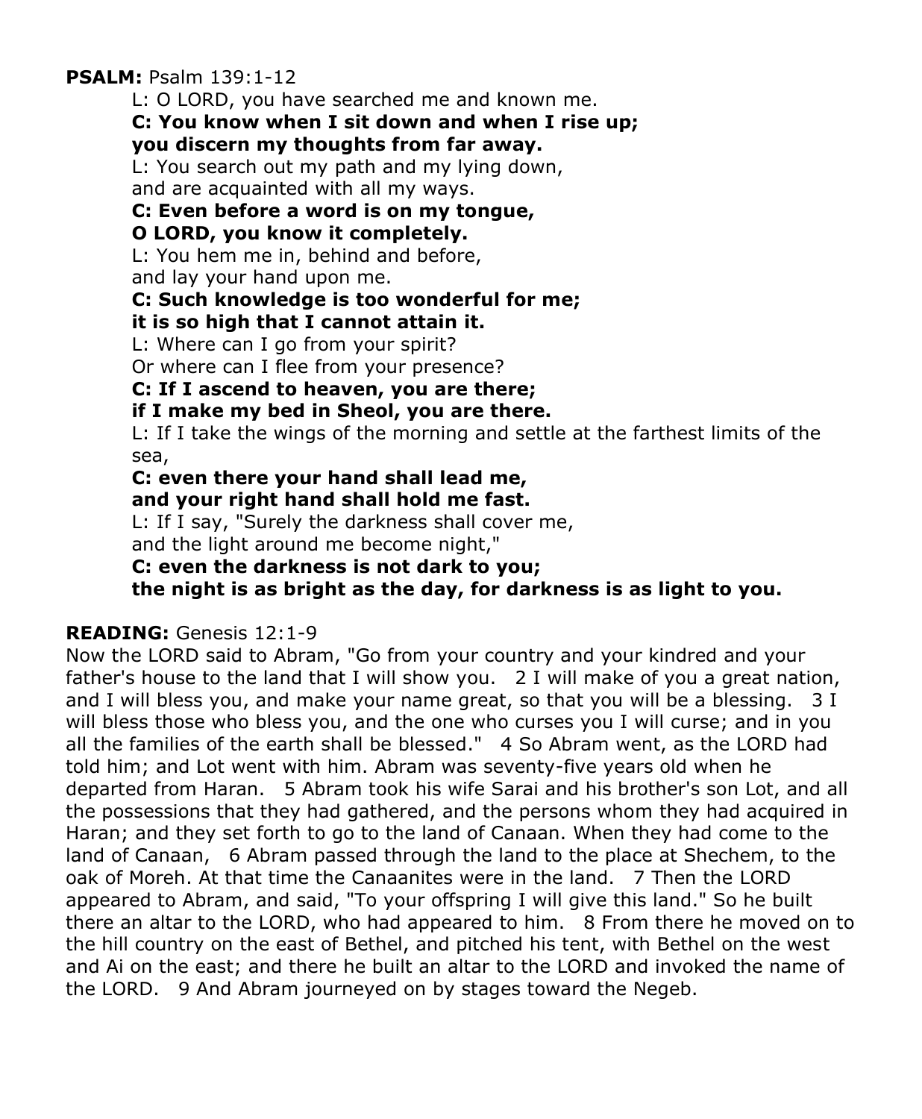**PSALM:** Psalm 139:1-12

L: O LORD, you have searched me and known me.

#### **C: You know when I sit down and when I rise up; you discern my thoughts from far away.**

L: You search out my path and my lying down, and are acquainted with all my ways.

# **C: Even before a word is on my tongue,**

# **O LORD, you know it completely.**

L: You hem me in, behind and before,

and lay your hand upon me.

# **C: Such knowledge is too wonderful for me;**

## **it is so high that I cannot attain it.**

L: Where can I go from your spirit?

Or where can I flee from your presence?

# **C: If I ascend to heaven, you are there;**

# **if I make my bed in Sheol, you are there.**

L: If I take the wings of the morning and settle at the farthest limits of the sea,

#### **C: even there your hand shall lead me, and your right hand shall hold me fast.**

L: If I say, "Surely the darkness shall cover me,

and the light around me become night,"

**C: even the darkness is not dark to you;** 

**the night is as bright as the day, for darkness is as light to you.**

# **READING:** Genesis 12:1-9

Now the LORD said to Abram, "Go from your country and your kindred and your father's house to the land that I will show you. 2 I will make of you a great nation, and I will bless you, and make your name great, so that you will be a blessing. 3 I will bless those who bless you, and the one who curses you I will curse; and in you all the families of the earth shall be blessed." 4 So Abram went, as the LORD had told him; and Lot went with him. Abram was seventy-five years old when he departed from Haran. 5 Abram took his wife Sarai and his brother's son Lot, and all the possessions that they had gathered, and the persons whom they had acquired in Haran; and they set forth to go to the land of Canaan. When they had come to the land of Canaan, 6 Abram passed through the land to the place at Shechem, to the oak of Moreh. At that time the Canaanites were in the land. 7 Then the LORD appeared to Abram, and said, "To your offspring I will give this land." So he built there an altar to the LORD, who had appeared to him. 8 From there he moved on to the hill country on the east of Bethel, and pitched his tent, with Bethel on the west and Ai on the east; and there he built an altar to the LORD and invoked the name of the LORD. 9 And Abram journeyed on by stages toward the Negeb.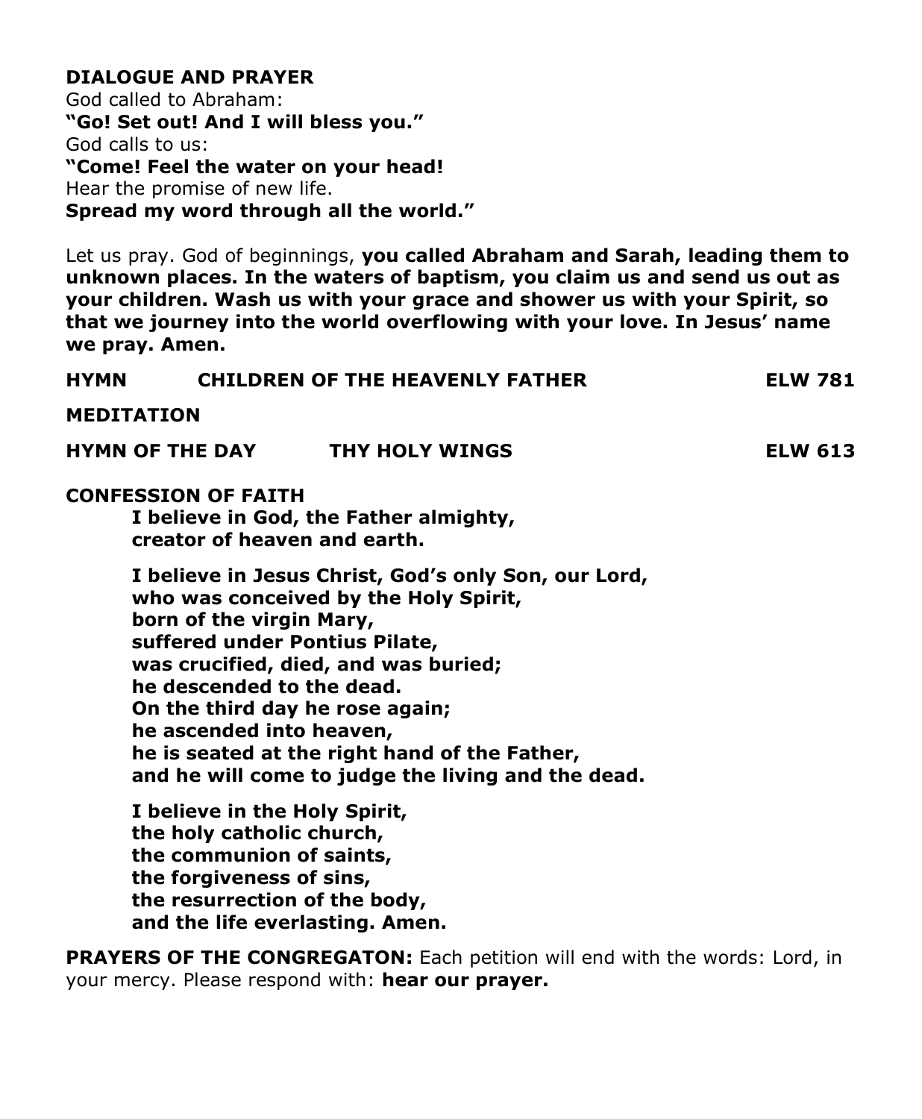## **DIALOGUE AND PRAYER**

God called to Abraham: **"Go! Set out! And I will bless you."** God calls to us: **"Come! Feel the water on your head!** Hear the promise of new life. **Spread my word through all the world."**

Let us pray. God of beginnings, **you called Abraham and Sarah, leading them to unknown places. In the waters of baptism, you claim us and send us out as your children. Wash us with your grace and shower us with your Spirit, so that we journey into the world overflowing with your love. In Jesus' name we pray. Amen.**

| HYMN | <b>CHILDREN OF THE HEAVENLY FATHER</b>                                                                                                                                                                                                                                                                                                                                                                 | <b>ELW 781</b> |
|------|--------------------------------------------------------------------------------------------------------------------------------------------------------------------------------------------------------------------------------------------------------------------------------------------------------------------------------------------------------------------------------------------------------|----------------|
|      | <b>MEDITATION</b>                                                                                                                                                                                                                                                                                                                                                                                      |                |
|      | HYMN OF THE DAY THY HOLY WINGS                                                                                                                                                                                                                                                                                                                                                                         | <b>ELW 613</b> |
|      | <b>CONFESSION OF FAITH</b><br>I believe in God, the Father almighty,<br>creator of heaven and earth.                                                                                                                                                                                                                                                                                                   |                |
|      | I believe in Jesus Christ, God's only Son, our Lord,<br>who was conceived by the Holy Spirit,<br>born of the virgin Mary,<br>suffered under Pontius Pilate,<br>was crucified, died, and was buried;<br>he descended to the dead.<br>On the third day he rose again;<br>he ascended into heaven,<br>he is seated at the right hand of the Father,<br>and he will come to judge the living and the dead. |                |
|      | I believe in the Holy Spirit,<br>the holy catholic church,<br>the communion of saints,<br>the forgiveness of sins,<br>the resurrection of the body,<br>and the life everlasting. Amen.                                                                                                                                                                                                                 |                |
|      | PRAYERS OF THE CONGREGATON: Each petition will end with the words: Lord, in                                                                                                                                                                                                                                                                                                                            |                |

your mercy. Please respond with: **hear our prayer.**